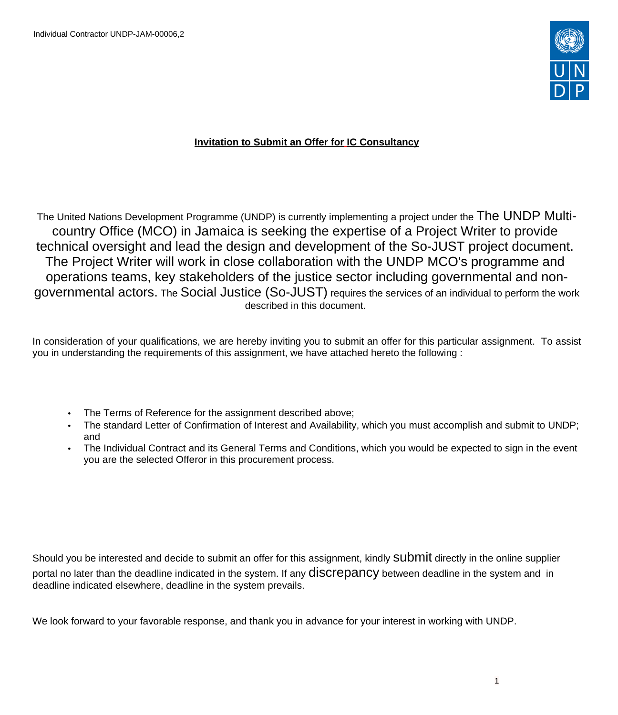

# **Invitation to Submit an Offer for IC Consultancy**

The United Nations Development Programme (UNDP) is currently implementing a project under the The UNDP Multicountry Office (MCO) in Jamaica is seeking the expertise of a Project Writer to provide technical oversight and lead the design and development of the So-JUST project document. The Project Writer will work in close collaboration with the UNDP MCO's programme and operations teams, key stakeholders of the justice sector including governmental and nongovernmental actors. The Social Justice (So-JUST) requires the services of an individual to perform the work described in this document.

In consideration of your qualifications, we are hereby inviting you to submit an offer for this particular assignment. To assist you in understanding the requirements of this assignment, we have attached hereto the following :

- The Terms of Reference for the assignment described above;
- The standard Letter of Confirmation of Interest and Availability, which you must accomplish and submit to UNDP; and
- The Individual Contract and its General Terms and Conditions, which you would be expected to sign in the event you are the selected Offeror in this procurement process.

Should you be interested and decide to submit an offer for this assignment, kindly SUDMIt directly in the online supplier portal no later than the deadline indicated in the system. If any **diSCrepancy** between deadline in the system and in deadline indicated elsewhere, deadline in the system prevails.

We look forward to your favorable response, and thank you in advance for your interest in working with UNDP.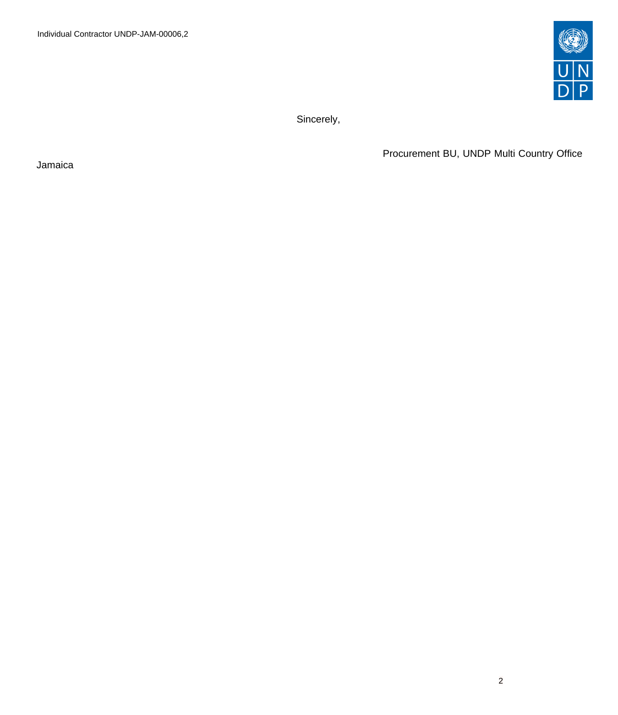

Sincerely,

Jamaica

Procurement BU, UNDP Multi Country Office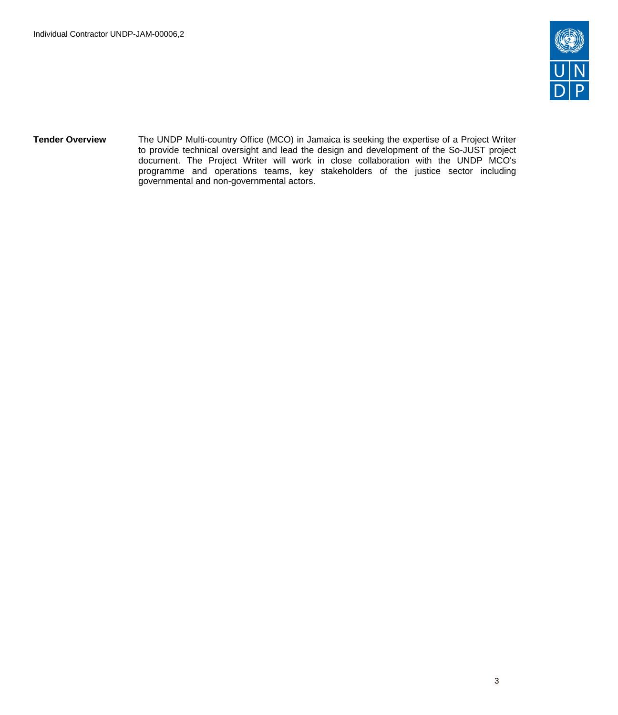

**Tender Overview** The UNDP Multi-country Office (MCO) in Jamaica is seeking the expertise of a Project Writer to provide technical oversight and lead the design and development of the So-JUST project document. The Project Writer will work in close collaboration with the UNDP MCO's programme and operations teams, key stakeholders of the justice sector including governmental and non-governmental actors.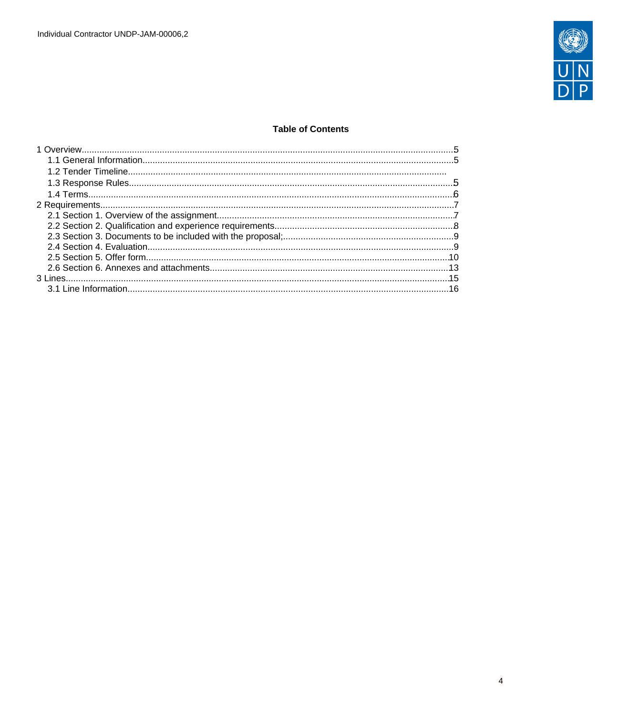

# **Table of Contents**

| .5 |
|----|
|    |
|    |
|    |
|    |
|    |
|    |
|    |
|    |
|    |
|    |
|    |
|    |
|    |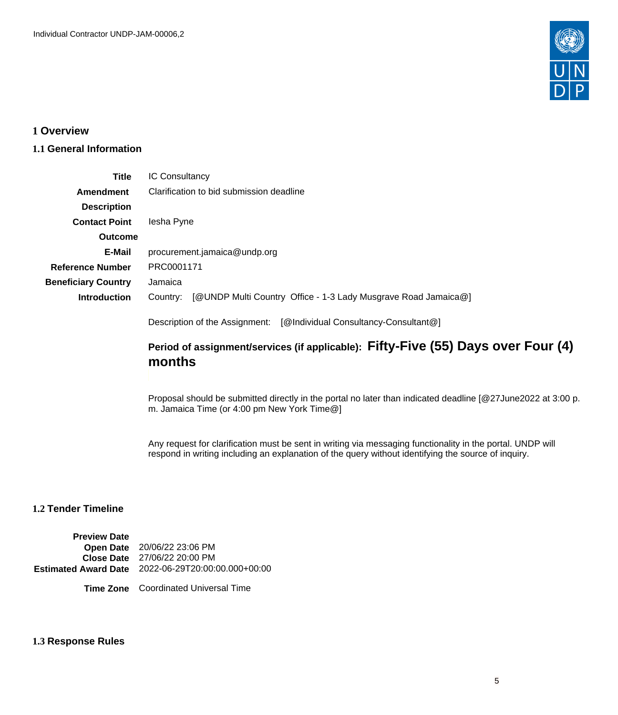

# <span id="page-4-0"></span>**1 Overview**

# <span id="page-4-1"></span>**1.1 General Information**

| <b>Title</b>               | <b>IC Consultancy</b>                                                      |  |  |
|----------------------------|----------------------------------------------------------------------------|--|--|
| <b>Amendment</b>           | Clarification to bid submission deadline                                   |  |  |
| <b>Description</b>         |                                                                            |  |  |
| <b>Contact Point</b>       | lesha Pyne                                                                 |  |  |
| <b>Outcome</b>             |                                                                            |  |  |
| E-Mail                     | procurement.jamaica@undp.org                                               |  |  |
| <b>Reference Number</b>    | PRC0001171                                                                 |  |  |
| <b>Beneficiary Country</b> | Jamaica                                                                    |  |  |
| <b>Introduction</b>        | [@UNDP Multi Country Office - 1-3 Lady Musgrave Road Jamaica@]<br>Country: |  |  |
|                            | [@Individual Consultancy-Consultant@]<br>Description of the Assignment:    |  |  |

# **Period of assignment/services (if applicable): Fifty-Five (55) Days over Four (4) months**

Proposal should be submitted directly in the portal no later than indicated deadline [@27June2022 at 3:00 p. m. Jamaica Time (or 4:00 pm New York Time@]

Any request for clarification must be sent in writing via messaging functionality in the portal. UNDP will respond in writing including an explanation of the query without identifying the source of inquiry.

# **1.2 Tender Timeline**

| <b>Preview Date</b> |                                                           |
|---------------------|-----------------------------------------------------------|
|                     | <b>Open Date</b> 20/06/22 23:06 PM                        |
|                     | <b>Close Date</b> 27/06/22 20:00 PM                       |
|                     | <b>Estimated Award Date</b> 2022-06-29T20:00:00.000+00:00 |
|                     |                                                           |

**Time Zone** Coordinated Universal Time

# <span id="page-4-2"></span>**1.3 Response Rules**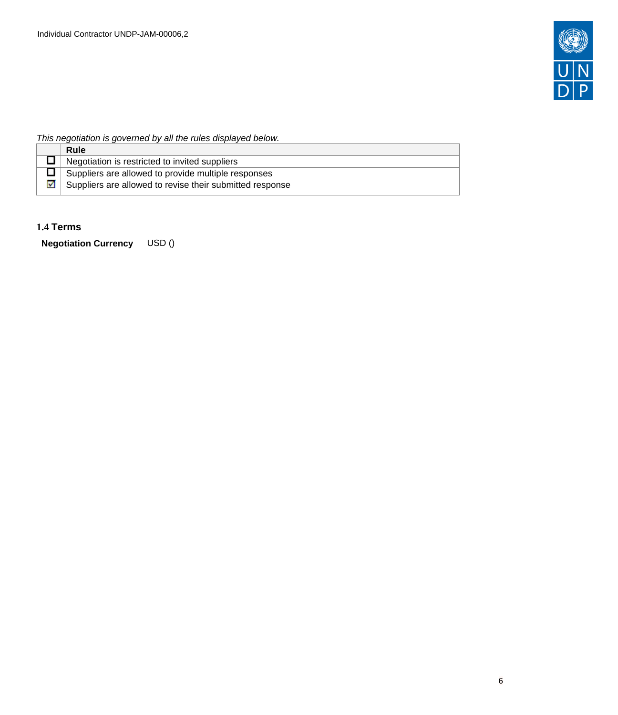

This negotiation is governed by all the rules displayed below.

| Rule                                                     |  |  |  |  |  |
|----------------------------------------------------------|--|--|--|--|--|
| Negotiation is restricted to invited suppliers           |  |  |  |  |  |
| Suppliers are allowed to provide multiple responses      |  |  |  |  |  |
| Suppliers are allowed to revise their submitted response |  |  |  |  |  |
|                                                          |  |  |  |  |  |

# <span id="page-5-0"></span>**1.4 Terms**

**Negotiation Currency** USD ()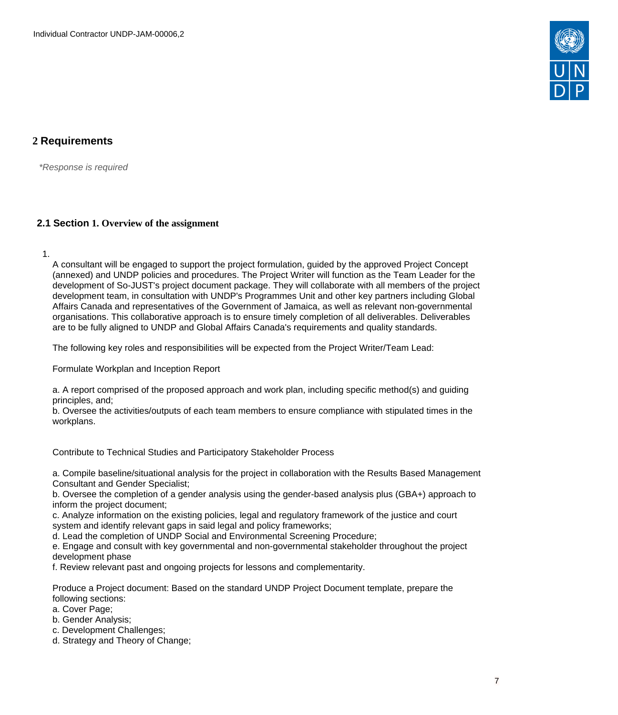

# <span id="page-6-0"></span>**2 Requirements**

\*Response is required

# <span id="page-6-1"></span>**2.1 Section 1. Overview of the assignment**

1.

A consultant will be engaged to support the project formulation, guided by the approved Project Concept (annexed) and UNDP policies and procedures. The Project Writer will function as the Team Leader for the development of So-JUST's project document package. They will collaborate with all members of the project development team, in consultation with UNDP's Programmes Unit and other key partners including Global Affairs Canada and representatives of the Government of Jamaica, as well as relevant non-governmental organisations. This collaborative approach is to ensure timely completion of all deliverables. Deliverables are to be fully aligned to UNDP and Global Affairs Canada's requirements and quality standards.

The following key roles and responsibilities will be expected from the Project Writer/Team Lead:

Formulate Workplan and Inception Report

a. A report comprised of the proposed approach and work plan, including specific method(s) and guiding principles, and;

b. Oversee the activities/outputs of each team members to ensure compliance with stipulated times in the workplans.

Contribute to Technical Studies and Participatory Stakeholder Process

a. Compile baseline/situational analysis for the project in collaboration with the Results Based Management Consultant and Gender Specialist;

b. Oversee the completion of a gender analysis using the gender-based analysis plus (GBA+) approach to inform the project document;

c. Analyze information on the existing policies, legal and regulatory framework of the justice and court system and identify relevant gaps in said legal and policy frameworks;

d. Lead the completion of UNDP Social and Environmental Screening Procedure;

e. Engage and consult with key governmental and non-governmental stakeholder throughout the project development phase

f. Review relevant past and ongoing projects for lessons and complementarity.

Produce a Project document: Based on the standard UNDP Project Document template, prepare the following sections:

- a. Cover Page;
- b. Gender Analysis;
- c. Development Challenges;
- d. Strategy and Theory of Change;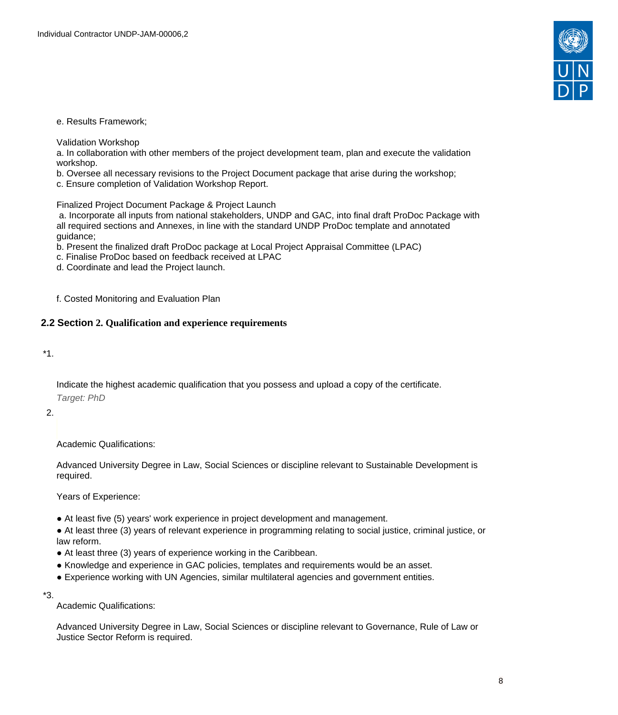

# e. Results Framework;

Validation Workshop

a. In collaboration with other members of the project development team, plan and execute the validation workshop.

- b. Oversee all necessary revisions to the Project Document package that arise during the workshop;
- c. Ensure completion of Validation Workshop Report.

Finalized Project Document Package & Project Launch

 a. Incorporate all inputs from national stakeholders, UNDP and GAC, into final draft ProDoc Package with all required sections and Annexes, in line with the standard UNDP ProDoc template and annotated guidance;

b. Present the finalized draft ProDoc package at Local Project Appraisal Committee (LPAC)

- c. Finalise ProDoc based on feedback received at LPAC
- d. Coordinate and lead the Project launch.

f. Costed Monitoring and Evaluation Plan

# <span id="page-7-0"></span>**2.2 Section 2. Qualification and experience requirements**

\*1.

Indicate the highest academic qualification that you possess and upload a copy of the certificate. Target: PhD

2.

Academic Qualifications:

Advanced University Degree in Law, Social Sciences or discipline relevant to Sustainable Development is required.

Years of Experience:

● At least five (5) years' work experience in project development and management.

● At least three (3) years of relevant experience in programming relating to social justice, criminal justice, or law reform.

- At least three (3) years of experience working in the Caribbean.
- Knowledge and experience in GAC policies, templates and requirements would be an asset.
- Experience working with UN Agencies, similar multilateral agencies and government entities.

\*3.

Academic Qualifications:

Advanced University Degree in Law, Social Sciences or discipline relevant to Governance, Rule of Law or Justice Sector Reform is required.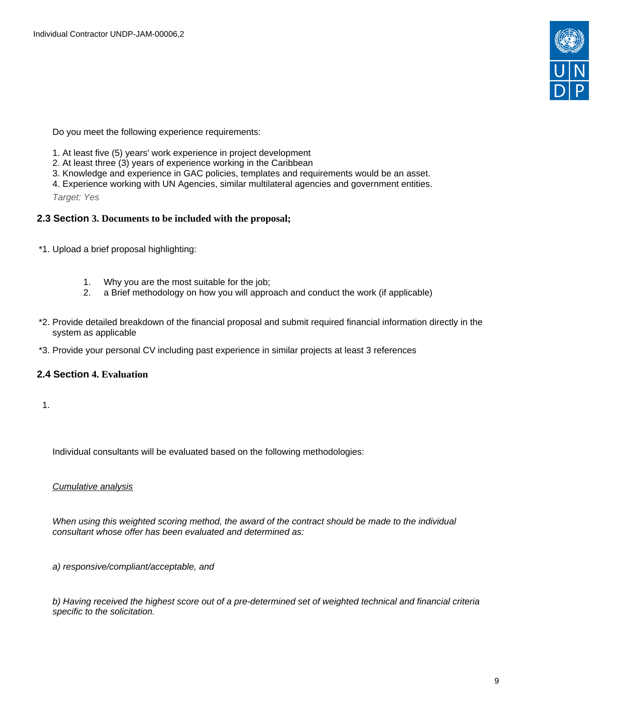

Do you meet the following experience requirements:

1. At least five (5) years' work experience in project development

2. At least three (3) years of experience working in the Caribbean

3. Knowledge and experience in GAC policies, templates and requirements would be an asset.

4. Experience working with UN Agencies, similar multilateral agencies and government entities.

Target: Yes

# <span id="page-8-0"></span>**2.3 Section 3. Documents to be included with the proposal;**

\*1. Upload a brief proposal highlighting:

- 1. Why you are the most suitable for the job;
- 2. a Brief methodology on how you will approach and conduct the work (if applicable)
- \*2. Provide detailed breakdown of the financial proposal and submit required financial information directly in the system as applicable
- \*3. Provide your personal CV including past experience in similar projects at least 3 references

# <span id="page-8-1"></span>**2.4 Section 4. Evaluation**

1.

Individual consultants will be evaluated based on the following methodologies:

**Cumulative analysis** 

When using this weighted scoring method, the award of the contract should be made to the individual consultant whose offer has been evaluated and determined as:

a) responsive/compliant/acceptable, and

b) Having received the highest score out of a pre-determined set of weighted technical and financial criteria specific to the solicitation.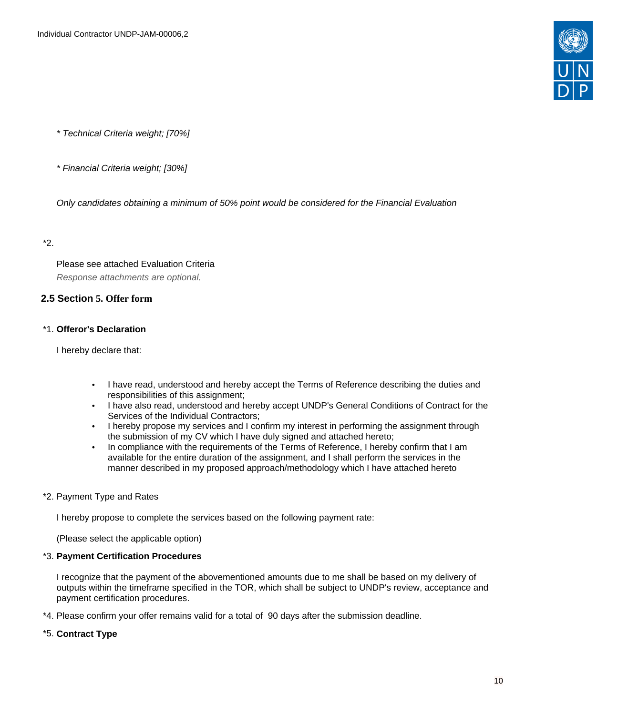

\* Technical Criteria weight; [70%]

\* Financial Criteria weight; [30%]

Only candidates obtaining a minimum of 50% point would be considered for the Financial Evaluation

\*2.

# Please see attached Evaluation Criteria Response attachments are optional*.*

# <span id="page-9-0"></span>**2.5 Section 5. Offer form**

# \*1. **Offeror's Declaration**

I hereby declare that:

- I have read, understood and hereby accept the Terms of Reference describing the duties and responsibilities of this assignment;
- I have also read, understood and hereby accept UNDP's General Conditions of Contract for the Services of the Individual Contractors;
- I hereby propose my services and I confirm my interest in performing the assignment through the submission of my CV which I have duly signed and attached hereto;
- In compliance with the requirements of the Terms of Reference, I hereby confirm that I am available for the entire duration of the assignment, and I shall perform the services in the manner described in my proposed approach/methodology which I have attached hereto
- \*2. Payment Type and Rates

I hereby propose to complete the services based on the following payment rate:

(Please select the applicable option)

# \*3. **Payment Certification Procedures**

I recognize that the payment of the abovementioned amounts due to me shall be based on my delivery of outputs within the timeframe specified in the TOR, which shall be subject to UNDP's review, acceptance and payment certification procedures.

\*4. Please confirm your offer remains valid for a total of 90 days after the submission deadline.

# \*5. **Contract Type**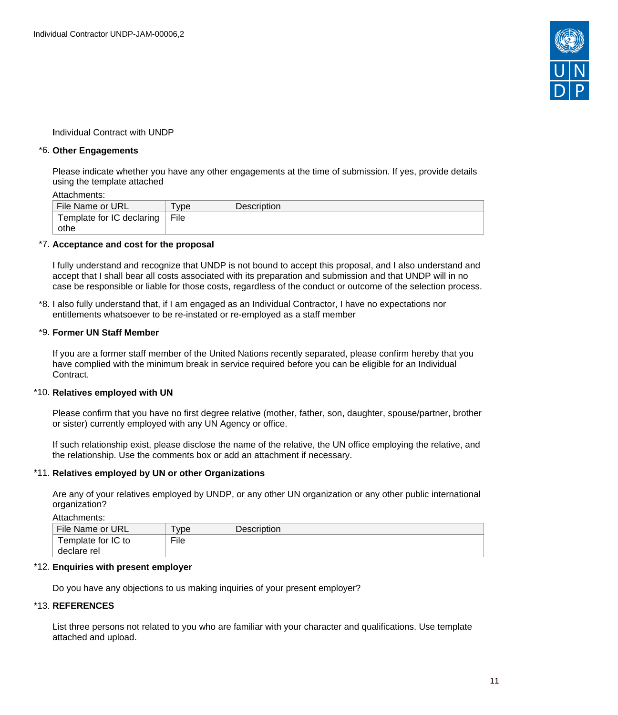

**I**ndividual Contract with UNDP

### \*6. **Other Engagements**

Please indicate whether you have any other engagements at the time of submission. If yes, provide details using the template attached

#### Attachments:

| File Name or URL          | vpe  | <b>Description</b> |
|---------------------------|------|--------------------|
| Template for IC declaring | File |                    |
| othe                      |      |                    |

#### \*7. **Acceptance and cost for the proposal**

I fully understand and recognize that UNDP is not bound to accept this proposal, and I also understand and accept that I shall bear all costs associated with its preparation and submission and that UNDP will in no case be responsible or liable for those costs, regardless of the conduct or outcome of the selection process.

\*8. I also fully understand that, if I am engaged as an Individual Contractor, I have no expectations nor entitlements whatsoever to be re-instated or re-employed as a staff member

### \*9. **Former UN Staff Member**

If you are a former staff member of the United Nations recently separated, please confirm hereby that you have complied with the minimum break in service required before you can be eligible for an Individual Contract.

#### \*10. **Relatives employed with UN**

Please confirm that you have no first degree relative (mother, father, son, daughter, spouse/partner, brother or sister) currently employed with any UN Agency or office.

If such relationship exist, please disclose the name of the relative, the UN office employing the relative, and the relationship. Use the comments box or add an attachment if necessary.

#### \*11. **Relatives employed by UN or other Organizations**

Are any of your relatives employed by UNDP, or any other UN organization or any other public international organization?

Attachments:

| File Name or URL   | <b>vpe</b> | <b>Description</b> |
|--------------------|------------|--------------------|
| Template for IC to | File       |                    |
| declare rel        |            |                    |

#### \*12. **Enquiries with present employer**

Do you have any objections to us making inquiries of your present employer?

### \*13. **REFERENCES**

List three persons not related to you who are familiar with your character and qualifications. Use template attached and upload.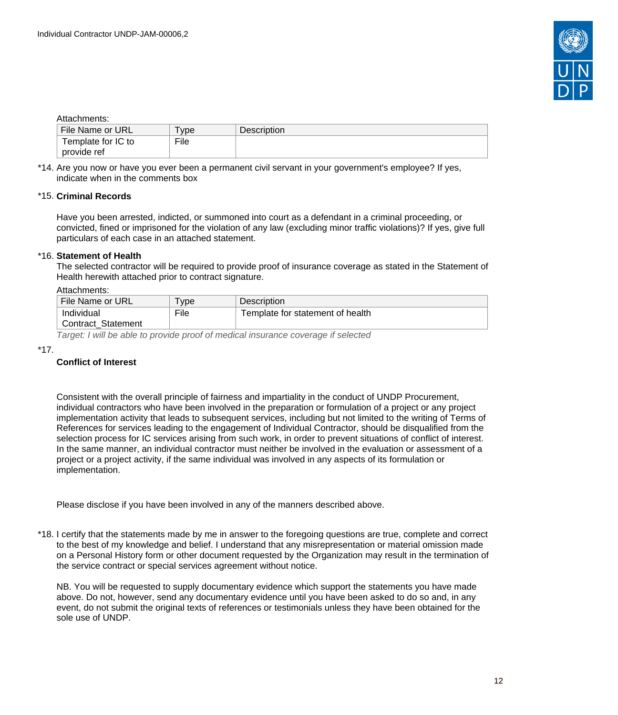

### Attachments:

| File Name or URL   | 'ype | Description |
|--------------------|------|-------------|
| Template for IC to | File |             |
| provide ref        |      |             |

\*14. Are you now or have you ever been a permanent civil servant in your government's employee? If yes, indicate when in the comments box

### \*15. **Criminal Records**

Have you been arrested, indicted, or summoned into court as a defendant in a criminal proceeding, or convicted, fined or imprisoned for the violation of any law (excluding minor traffic violations)? If yes, give full particulars of each case in an attached statement.

### \*16. **Statement of Health**

The selected contractor will be required to provide proof of insurance coverage as stated in the Statement of Health herewith attached prior to contract signature.

Attachments:

| File Name or URL   | vpe  | Description                      |
|--------------------|------|----------------------------------|
| Individual         | File | Template for statement of health |
| Contract Statement |      |                                  |

Target: I will be able to provide proof of medical insurance coverage if selected

#### \*17.

# **Conflict of Interest**

Consistent with the overall principle of fairness and impartiality in the conduct of UNDP Procurement, individual contractors who have been involved in the preparation or formulation of a project or any project implementation activity that leads to subsequent services, including but not limited to the writing of Terms of References for services leading to the engagement of Individual Contractor, should be disqualified from the selection process for IC services arising from such work, in order to prevent situations of conflict of interest. In the same manner, an individual contractor must neither be involved in the evaluation or assessment of a project or a project activity, if the same individual was involved in any aspects of its formulation or implementation.

Please disclose if you have been involved in any of the manners described above.

\*18. I certify that the statements made by me in answer to the foregoing questions are true, complete and correct to the best of my knowledge and belief. I understand that any misrepresentation or material omission made on a Personal History form or other document requested by the Organization may result in the termination of the service contract or special services agreement without notice.

NB. You will be requested to supply documentary evidence which support the statements you have made above. Do not, however, send any documentary evidence until you have been asked to do so and, in any event, do not submit the original texts of references or testimonials unless they have been obtained for the sole use of UNDP.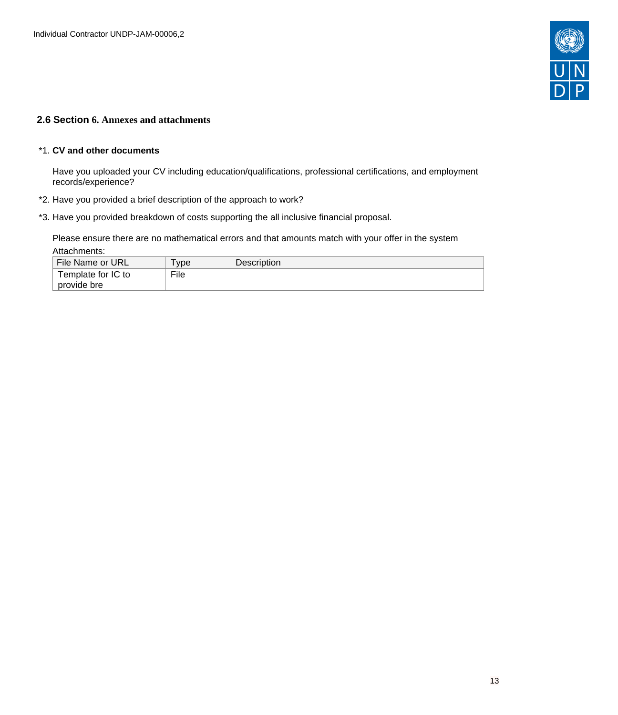

# <span id="page-12-0"></span>**2.6 Section 6. Annexes and attachments**

### \*1. **CV and other documents**

Have you uploaded your CV including education/qualifications, professional certifications, and employment records/experience?

- \*2. Have you provided a brief description of the approach to work?
- \*3. Have you provided breakdown of costs supporting the all inclusive financial proposal.

Please ensure there are no mathematical errors and that amounts match with your offer in the system Attachments:

| File Name or URL   | vpe  | <b>Description</b> |
|--------------------|------|--------------------|
| Template for IC to | File |                    |
| provide bre        |      |                    |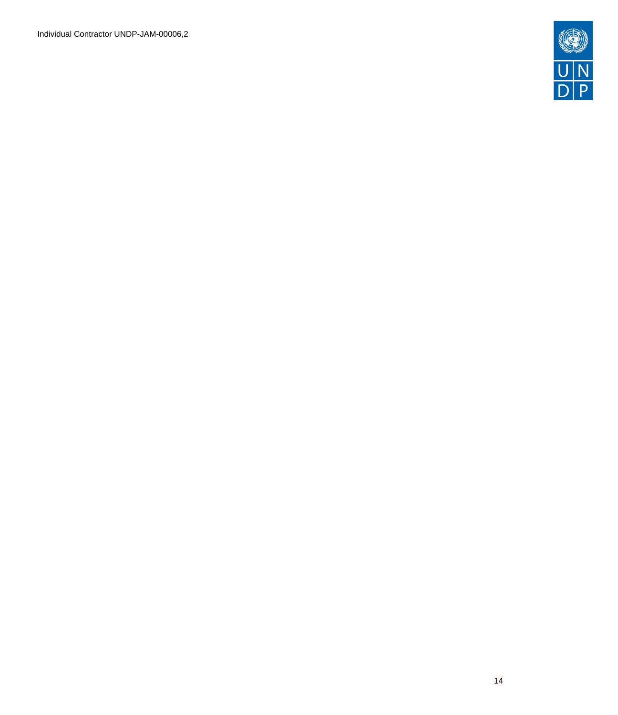Individual Contractor UNDP-JAM-00006,2

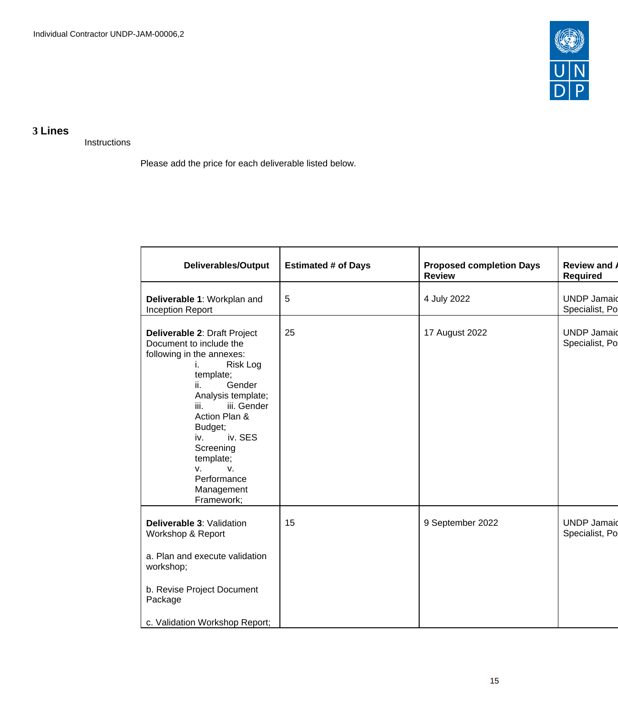

# <span id="page-14-0"></span>**3 Lines**

Instructions

Please add the price for each deliverable listed below.

| Deliverables/Output                                                                                                                                                                                                                                                                                                         | <b>Estimated # of Days</b> | <b>Proposed completion Days</b><br><b>Review</b> | Review and /<br><b>Required</b>      |
|-----------------------------------------------------------------------------------------------------------------------------------------------------------------------------------------------------------------------------------------------------------------------------------------------------------------------------|----------------------------|--------------------------------------------------|--------------------------------------|
| Deliverable 1: Workplan and<br><b>Inception Report</b>                                                                                                                                                                                                                                                                      | 5                          | 4 July 2022                                      | <b>UNDP Jamaid</b><br>Specialist, Po |
| Deliverable 2: Draft Project<br>Document to include the<br>following in the annexes:<br>Risk Log<br>i.<br>template;<br>Gender<br>ii.<br>Analysis template;<br>iii. Gender<br>iii.<br>Action Plan &<br>Budget;<br>iv. SES<br>iv.<br>Screening<br>template;<br>v.<br>$V_{\bullet}$<br>Performance<br>Management<br>Framework; | 25                         | 17 August 2022                                   | <b>UNDP Jamaid</b><br>Specialist, Po |
| Deliverable 3: Validation<br>Workshop & Report<br>a. Plan and execute validation<br>workshop;                                                                                                                                                                                                                               | 15                         | 9 September 2022                                 | <b>UNDP Jamaid</b><br>Specialist, Po |
| b. Revise Project Document<br>Package<br>c. Validation Workshop Report;                                                                                                                                                                                                                                                     |                            |                                                  |                                      |